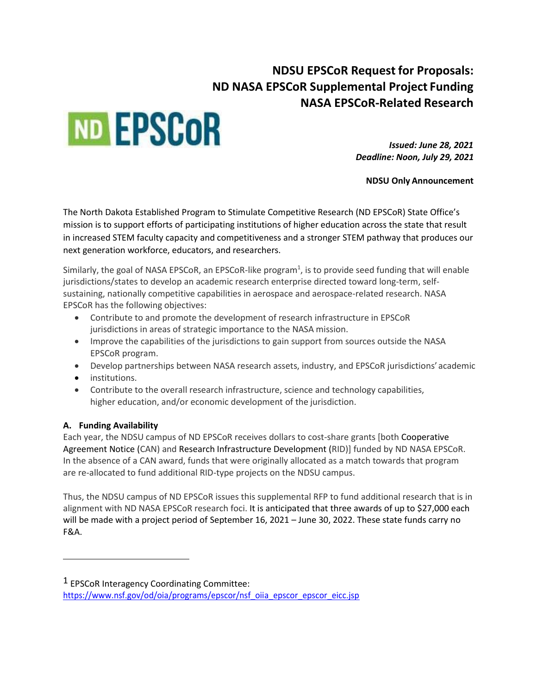# **NDSU EPSCoR Request for Proposals: ND NASA EPSCoR Supplemental Project Funding NASA EPSCoR-Related Research**



*Issued: June 28, 2021 Deadline: Noon, July 29, 2021*

**NDSU Only Announcement**

The North Dakota Established Program to Stimulate Competitive Research (ND EPSCoR) State Office's mission is to support efforts of participating institutions of higher education across the state that result in increased STEM faculty capacity and competitiveness and a stronger STEM pathway that produces our next generation workforce, educators, and researchers.

Similarly, the goal of NASA EPSCoR, an EPSCoR-like program<sup>1</sup>, is to provide seed funding that will enable jurisdictions/states to develop an academic research enterprise directed toward long-term, selfsustaining, nationally competitive capabilities in aerospace and aerospace-related research. NASA EPSCoR has the following objectives:

- Contribute to and promote the development of research infrastructure in EPSCoR jurisdictions in areas of strategic importance to the NASA mission.
- Improve the capabilities of the jurisdictions to gain support from sources outside the NASA EPSCoR program.
- Develop partnerships between NASA research assets, industry, and EPSCoR jurisdictions'academic
- institutions.
- Contribute to the overall research infrastructure, science and technology capabilities, higher education, and/or economic development of the jurisdiction.

## **A. Funding Availability**

Each year, the NDSU campus of ND EPSCoR receives dollars to cost-share grants [both Cooperative Agreement Notice (CAN) and Research Infrastructure Development (RID)] funded by ND NASA EPSCoR. In the absence of a CAN award, funds that were originally allocated as a match towards that program are re-allocated to fund additional RID-type projects on the NDSU campus.

Thus, the NDSU campus of ND EPSCoR issues this supplemental RFP to fund additional research that is in alignment with ND NASA EPSCoR research foci. It is anticipated that three awards of up to \$27,000 each will be made with a project period of September 16, 2021 – June 30, 2022. These state funds carry no F&A.

<sup>&</sup>lt;sup>1</sup> EPSCoR Interagency Coordinating Committee:

[https://www.nsf.gov/od/oia/programs/epscor/nsf\\_oiia\\_epscor\\_epscor\\_eicc.jsp](https://www.nsf.gov/od/oia/programs/epscor/nsf_oiia_epscor_epscor_eicc.jsp)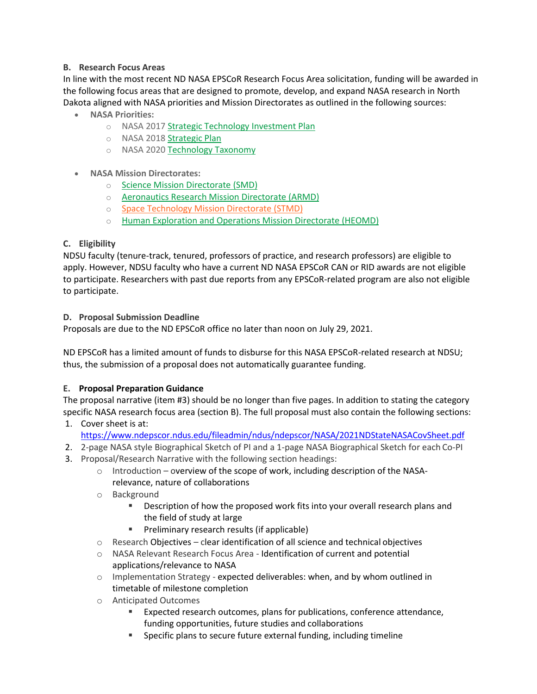## **B. Research Focus Areas**

In line with the most recent ND NASA EPSCoR Research Focus Area solicitation, funding will be awarded in the following focus areas that are designed to promote, develop, and expand NASA research in North Dakota aligned with NASA priorities and Mission Directorates as outlined in the following sources:

- **NASA Priorities:**
	- o NASA 2017 Strategic [Technology](https://www.nasa.gov/sites/default/files/atoms/files/2017-8-1_stip_final-508ed.pdf) Investment Plan
	- o NASA 2018 [Strategic](https://www.nasa.gov/sites/default/files/atoms/files/nasa_2018_strategic_plan.pdf) Plan
	- o NASA 2020 [Technology](https://www.nasa.gov/sites/default/files/atoms/files/2020_nasa_technology_taxonomy.pdf) Taxonomy
- **NASA Mission Directorates:**
	- o Science Mission [Directorate](https://science.nasa.gov/) (SMD)
	- o [Aeronautics](https://www.nasa.gov/aeroresearch) Research Mission Directorate (ARMD)
	- o Space [Technology](https://www.nasa.gov/directorates/spacetech/home/index.html) Mission Directorate (STMD)
	- o Human [Exploration](https://www.nasa.gov/directorates/heo/index.html) and Operations Mission Directorate (HEOMD)

## **C. Eligibility**

NDSU faculty (tenure-track, tenured, professors of practice, and research professors) are eligible to apply. However, NDSU faculty who have a current ND NASA EPSCoR CAN or RID awards are not eligible to participate. Researchers with past due reports from any EPSCoR-related program are also not eligible to participate.

## **D. Proposal Submission Deadline**

Proposals are due to the ND EPSCoR office no later than noon on July 29, 2021.

ND EPSCoR has a limited amount of funds to disburse for this NASA EPSCoR-related research at NDSU; thus, the submission of a proposal does not automatically guarantee funding.

## **E. Proposal Preparation Guidance**

The proposal narrative (item #3) should be no longer than five pages. In addition to stating the category specific NASA research focus area (section B). The full proposal must also contain the following sections:

- 1. Cover sheet is at: https://www.ndepscor.ndus.edu/fileadmin/ndus/ndepscor/NASA/2021NDStateNASACovSheet.pdf
- 2. 2-page NASA style Biographical Sketch of PI and a 1-page NASA Biographical Sketch for each Co-PI
- 3. Proposal/Research Narrative with the following section headings:
	- $\circ$  Introduction overview of the scope of work, including description of the NASArelevance, nature of collaborations
	- o Background
		- **EXE** Description of how the proposed work fits into your overall research plans and the field of study at large
		- **Preliminary research results (if applicable)**
	- $\circ$  Research Objectives clear identification of all science and technical objectives
	- o NASA Relevant Research Focus Area Identification of current and potential applications/relevance to NASA
	- $\circ$  Implementation Strategy expected deliverables: when, and by whom outlined in timetable of milestone completion
	- o Anticipated Outcomes
		- Expected research outcomes, plans for publications, conference attendance, funding opportunities, future studies and collaborations
		- Specific plans to secure future external funding, including timeline